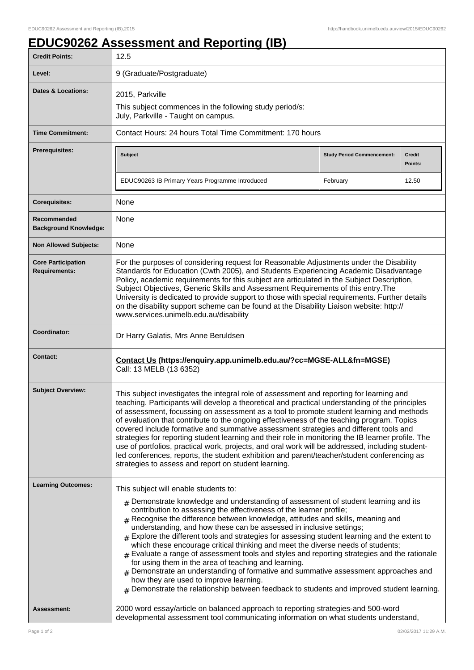## **EDUC90262 Assessment and Reporting (IB)**

| <b>Credit Points:</b>                             | 12.5                                                                                                                                                                                                                                                                                                                                                                                                                                                                                                                                                                                                                                                                                                                                                                                                                                                                                                                                                        |                                   |                          |
|---------------------------------------------------|-------------------------------------------------------------------------------------------------------------------------------------------------------------------------------------------------------------------------------------------------------------------------------------------------------------------------------------------------------------------------------------------------------------------------------------------------------------------------------------------------------------------------------------------------------------------------------------------------------------------------------------------------------------------------------------------------------------------------------------------------------------------------------------------------------------------------------------------------------------------------------------------------------------------------------------------------------------|-----------------------------------|--------------------------|
| Level:                                            | 9 (Graduate/Postgraduate)                                                                                                                                                                                                                                                                                                                                                                                                                                                                                                                                                                                                                                                                                                                                                                                                                                                                                                                                   |                                   |                          |
| <b>Dates &amp; Locations:</b>                     | 2015, Parkville<br>This subject commences in the following study period/s:                                                                                                                                                                                                                                                                                                                                                                                                                                                                                                                                                                                                                                                                                                                                                                                                                                                                                  |                                   |                          |
|                                                   | July, Parkville - Taught on campus.                                                                                                                                                                                                                                                                                                                                                                                                                                                                                                                                                                                                                                                                                                                                                                                                                                                                                                                         |                                   |                          |
| <b>Time Commitment:</b>                           | Contact Hours: 24 hours Total Time Commitment: 170 hours                                                                                                                                                                                                                                                                                                                                                                                                                                                                                                                                                                                                                                                                                                                                                                                                                                                                                                    |                                   |                          |
| <b>Prerequisites:</b>                             | Subject                                                                                                                                                                                                                                                                                                                                                                                                                                                                                                                                                                                                                                                                                                                                                                                                                                                                                                                                                     | <b>Study Period Commencement:</b> | <b>Credit</b><br>Points: |
|                                                   | EDUC90263 IB Primary Years Programme Introduced                                                                                                                                                                                                                                                                                                                                                                                                                                                                                                                                                                                                                                                                                                                                                                                                                                                                                                             | February                          | 12.50                    |
| <b>Corequisites:</b>                              | None                                                                                                                                                                                                                                                                                                                                                                                                                                                                                                                                                                                                                                                                                                                                                                                                                                                                                                                                                        |                                   |                          |
| Recommended<br><b>Background Knowledge:</b>       | None                                                                                                                                                                                                                                                                                                                                                                                                                                                                                                                                                                                                                                                                                                                                                                                                                                                                                                                                                        |                                   |                          |
| <b>Non Allowed Subjects:</b>                      | None                                                                                                                                                                                                                                                                                                                                                                                                                                                                                                                                                                                                                                                                                                                                                                                                                                                                                                                                                        |                                   |                          |
| <b>Core Participation</b><br><b>Requirements:</b> | For the purposes of considering request for Reasonable Adjustments under the Disability<br>Standards for Education (Cwth 2005), and Students Experiencing Academic Disadvantage<br>Policy, academic requirements for this subject are articulated in the Subject Description,<br>Subject Objectives, Generic Skills and Assessment Requirements of this entry. The<br>University is dedicated to provide support to those with special requirements. Further details<br>on the disability support scheme can be found at the Disability Liaison website: http://<br>www.services.unimelb.edu.au/disability                                                                                                                                                                                                                                                                                                                                                  |                                   |                          |
| Coordinator:                                      | Dr Harry Galatis, Mrs Anne Beruldsen                                                                                                                                                                                                                                                                                                                                                                                                                                                                                                                                                                                                                                                                                                                                                                                                                                                                                                                        |                                   |                          |
| <b>Contact:</b>                                   | Contact Us (https://enquiry.app.unimelb.edu.au/?cc=MGSE-ALL&fn=MGSE)<br>Call: 13 MELB (13 6352)                                                                                                                                                                                                                                                                                                                                                                                                                                                                                                                                                                                                                                                                                                                                                                                                                                                             |                                   |                          |
| <b>Subject Overview:</b>                          | This subject investigates the integral role of assessment and reporting for learning and<br>teaching. Participants will develop a theoretical and practical understanding of the principles<br>of assessment, focussing on assessment as a tool to promote student learning and methods<br>of evaluation that contribute to the ongoing effectiveness of the teaching program. Topics<br>covered include formative and summative assessment strategies and different tools and<br>strategies for reporting student learning and their role in monitoring the IB learner profile. The<br>use of portfolios, practical work, projects, and oral work will be addressed, including student-<br>led conferences, reports, the student exhibition and parent/teacher/student conferencing as<br>strategies to assess and report on student learning.                                                                                                             |                                   |                          |
| <b>Learning Outcomes:</b>                         | This subject will enable students to:<br>$_{\rm #}$ Demonstrate knowledge and understanding of assessment of student learning and its<br>contribution to assessing the effectiveness of the learner profile;<br>$#$ Recognise the difference between knowledge, attitudes and skills, meaning and<br>understanding, and how these can be assessed in inclusive settings;<br>$_{\#}$ Explore the different tools and strategies for assessing student learning and the extent to<br>which these encourage critical thinking and meet the diverse needs of students;<br>Evaluate a range of assessment tools and styles and reporting strategies and the rationale<br>for using them in the area of teaching and learning.<br>$#$ Demonstrate an understanding of formative and summative assessment approaches and<br>how they are used to improve learning.<br>$#$ Demonstrate the relationship between feedback to students and improved student learning. |                                   |                          |
| <b>Assessment:</b>                                | 2000 word essay/article on balanced approach to reporting strategies-and 500-word<br>developmental assessment tool communicating information on what students understand,                                                                                                                                                                                                                                                                                                                                                                                                                                                                                                                                                                                                                                                                                                                                                                                   |                                   |                          |